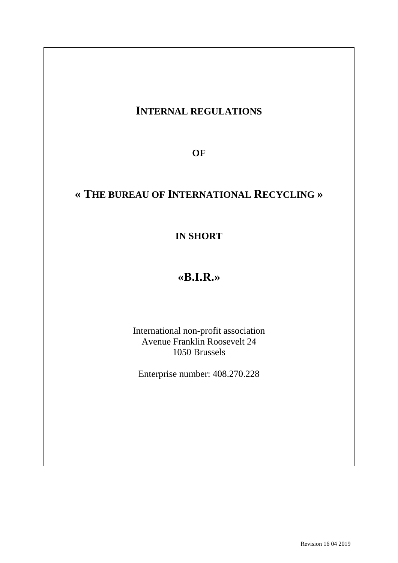# **INTERNAL REGULATIONS**

**OF**

# **« THE BUREAU OF INTERNATIONAL RECYCLING »**

**IN SHORT**

# **«B.I.R.»**

International non-profit association Avenue Franklin Roosevelt 24 1050 Brussels

Enterprise number: 408.270.228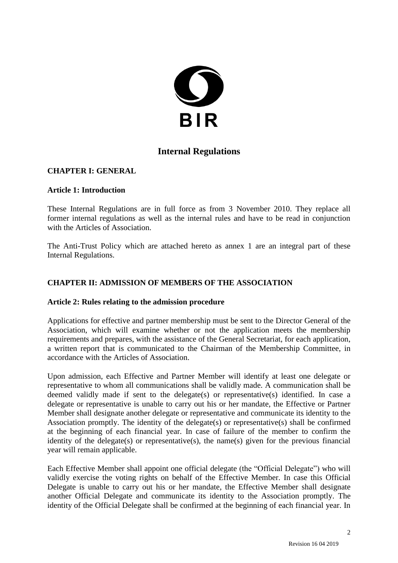

# **Internal Regulations**

## **CHAPTER I: GENERAL**

## **Article 1: Introduction**

These Internal Regulations are in full force as from 3 November 2010. They replace all former internal regulations as well as the internal rules and have to be read in conjunction with the Articles of Association.

The Anti-Trust Policy which are attached hereto as annex 1 are an integral part of these Internal Regulations.

## **CHAPTER II: ADMISSION OF MEMBERS OF THE ASSOCIATION**

#### **Article 2: Rules relating to the admission procedure**

Applications for effective and partner membership must be sent to the Director General of the Association, which will examine whether or not the application meets the membership requirements and prepares, with the assistance of the General Secretariat, for each application, a written report that is communicated to the Chairman of the Membership Committee, in accordance with the Articles of Association.

Upon admission, each Effective and Partner Member will identify at least one delegate or representative to whom all communications shall be validly made. A communication shall be deemed validly made if sent to the delegate(s) or representative(s) identified. In case a delegate or representative is unable to carry out his or her mandate, the Effective or Partner Member shall designate another delegate or representative and communicate its identity to the Association promptly. The identity of the delegate(s) or representative(s) shall be confirmed at the beginning of each financial year. In case of failure of the member to confirm the identity of the delegate(s) or representative(s), the name(s) given for the previous financial year will remain applicable.

Each Effective Member shall appoint one official delegate (the "Official Delegate") who will validly exercise the voting rights on behalf of the Effective Member. In case this Official Delegate is unable to carry out his or her mandate, the Effective Member shall designate another Official Delegate and communicate its identity to the Association promptly. The identity of the Official Delegate shall be confirmed at the beginning of each financial year. In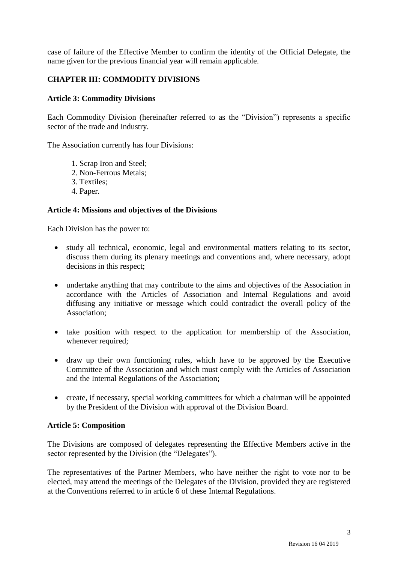case of failure of the Effective Member to confirm the identity of the Official Delegate, the name given for the previous financial year will remain applicable.

## **CHAPTER III: COMMODITY DIVISIONS**

## **Article 3: Commodity Divisions**

Each Commodity Division (hereinafter referred to as the "Division") represents a specific sector of the trade and industry.

The Association currently has four Divisions:

- 1. Scrap Iron and Steel;
- 2. Non-Ferrous Metals;
- 3. Textiles;
- 4. Paper.

## **Article 4: Missions and objectives of the Divisions**

Each Division has the power to:

- study all technical, economic, legal and environmental matters relating to its sector, discuss them during its plenary meetings and conventions and, where necessary, adopt decisions in this respect;
- undertake anything that may contribute to the aims and objectives of the Association in accordance with the Articles of Association and Internal Regulations and avoid diffusing any initiative or message which could contradict the overall policy of the Association;
- take position with respect to the application for membership of the Association, whenever required;
- draw up their own functioning rules, which have to be approved by the Executive Committee of the Association and which must comply with the Articles of Association and the Internal Regulations of the Association;
- create, if necessary, special working committees for which a chairman will be appointed by the President of the Division with approval of the Division Board.

#### **Article 5: Composition**

The Divisions are composed of delegates representing the Effective Members active in the sector represented by the Division (the "Delegates").

The representatives of the Partner Members, who have neither the right to vote nor to be elected, may attend the meetings of the Delegates of the Division, provided they are registered at the Conventions referred to in article 6 of these Internal Regulations.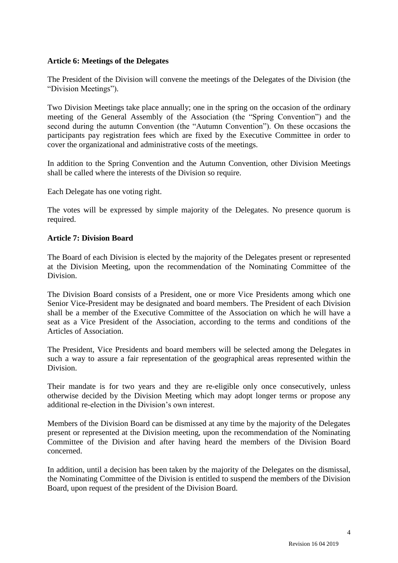## **Article 6: Meetings of the Delegates**

The President of the Division will convene the meetings of the Delegates of the Division (the "Division Meetings").

Two Division Meetings take place annually; one in the spring on the occasion of the ordinary meeting of the General Assembly of the Association (the "Spring Convention") and the second during the autumn Convention (the "Autumn Convention"). On these occasions the participants pay registration fees which are fixed by the Executive Committee in order to cover the organizational and administrative costs of the meetings.

In addition to the Spring Convention and the Autumn Convention, other Division Meetings shall be called where the interests of the Division so require.

Each Delegate has one voting right.

The votes will be expressed by simple majority of the Delegates. No presence quorum is required.

## **Article 7: Division Board**

The Board of each Division is elected by the majority of the Delegates present or represented at the Division Meeting, upon the recommendation of the Nominating Committee of the Division.

The Division Board consists of a President, one or more Vice Presidents among which one Senior Vice-President may be designated and board members. The President of each Division shall be a member of the Executive Committee of the Association on which he will have a seat as a Vice President of the Association, according to the terms and conditions of the Articles of Association.

The President, Vice Presidents and board members will be selected among the Delegates in such a way to assure a fair representation of the geographical areas represented within the Division.

Their mandate is for two years and they are re-eligible only once consecutively, unless otherwise decided by the Division Meeting which may adopt longer terms or propose any additional re-election in the Division's own interest.

Members of the Division Board can be dismissed at any time by the majority of the Delegates present or represented at the Division meeting, upon the recommendation of the Nominating Committee of the Division and after having heard the members of the Division Board concerned.

In addition, until a decision has been taken by the majority of the Delegates on the dismissal, the Nominating Committee of the Division is entitled to suspend the members of the Division Board, upon request of the president of the Division Board.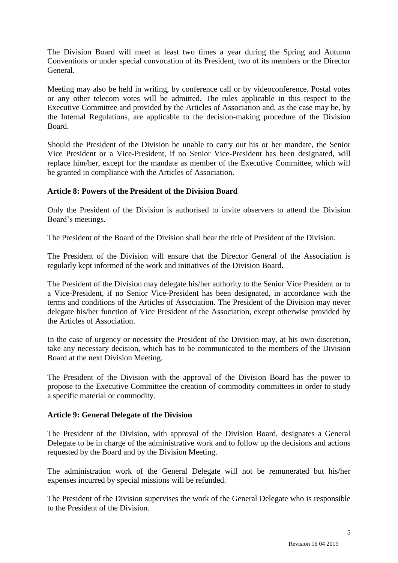The Division Board will meet at least two times a year during the Spring and Autumn Conventions or under special convocation of its President, two of its members or the Director General.

Meeting may also be held in writing, by conference call or by videoconference. Postal votes or any other telecom votes will be admitted. The rules applicable in this respect to the Executive Committee and provided by the Articles of Association and, as the case may be, by the Internal Regulations, are applicable to the decision-making procedure of the Division Board.

Should the President of the Division be unable to carry out his or her mandate, the Senior Vice President or a Vice-President, if no Senior Vice-President has been designated, will replace him/her, except for the mandate as member of the Executive Committee, which will be granted in compliance with the Articles of Association.

## **Article 8: Powers of the President of the Division Board**

Only the President of the Division is authorised to invite observers to attend the Division Board's meetings.

The President of the Board of the Division shall bear the title of President of the Division.

The President of the Division will ensure that the Director General of the Association is regularly kept informed of the work and initiatives of the Division Board.

The President of the Division may delegate his/her authority to the Senior Vice President or to a Vice-President, if no Senior Vice-President has been designated, in accordance with the terms and conditions of the Articles of Association. The President of the Division may never delegate his/her function of Vice President of the Association, except otherwise provided by the Articles of Association.

In the case of urgency or necessity the President of the Division may, at his own discretion, take any necessary decision, which has to be communicated to the members of the Division Board at the next Division Meeting.

The President of the Division with the approval of the Division Board has the power to propose to the Executive Committee the creation of commodity committees in order to study a specific material or commodity.

## **Article 9: General Delegate of the Division**

The President of the Division, with approval of the Division Board, designates a General Delegate to be in charge of the administrative work and to follow up the decisions and actions requested by the Board and by the Division Meeting.

The administration work of the General Delegate will not be remunerated but his/her expenses incurred by special missions will be refunded.

The President of the Division supervises the work of the General Delegate who is responsible to the President of the Division.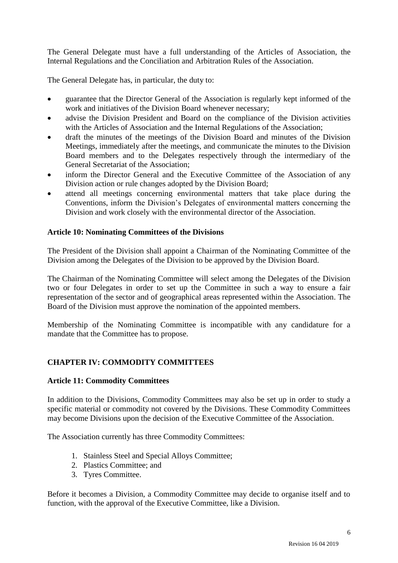The General Delegate must have a full understanding of the Articles of Association, the Internal Regulations and the Conciliation and Arbitration Rules of the Association.

The General Delegate has, in particular, the duty to:

- guarantee that the Director General of the Association is regularly kept informed of the work and initiatives of the Division Board whenever necessary;
- advise the Division President and Board on the compliance of the Division activities with the Articles of Association and the Internal Regulations of the Association;
- draft the minutes of the meetings of the Division Board and minutes of the Division Meetings, immediately after the meetings, and communicate the minutes to the Division Board members and to the Delegates respectively through the intermediary of the General Secretariat of the Association;
- inform the Director General and the Executive Committee of the Association of any Division action or rule changes adopted by the Division Board;
- attend all meetings concerning environmental matters that take place during the Conventions, inform the Division's Delegates of environmental matters concerning the Division and work closely with the environmental director of the Association.

#### **Article 10: Nominating Committees of the Divisions**

The President of the Division shall appoint a Chairman of the Nominating Committee of the Division among the Delegates of the Division to be approved by the Division Board.

The Chairman of the Nominating Committee will select among the Delegates of the Division two or four Delegates in order to set up the Committee in such a way to ensure a fair representation of the sector and of geographical areas represented within the Association. The Board of the Division must approve the nomination of the appointed members.

Membership of the Nominating Committee is incompatible with any candidature for a mandate that the Committee has to propose.

## **CHAPTER IV: COMMODITY COMMITTEES**

#### **Article 11: Commodity Committees**

In addition to the Divisions, Commodity Committees may also be set up in order to study a specific material or commodity not covered by the Divisions. These Commodity Committees may become Divisions upon the decision of the Executive Committee of the Association.

The Association currently has three Commodity Committees:

- 1. Stainless Steel and Special Alloys Committee;
- 2. Plastics Committee; and
- 3. Tyres Committee.

Before it becomes a Division, a Commodity Committee may decide to organise itself and to function, with the approval of the Executive Committee, like a Division.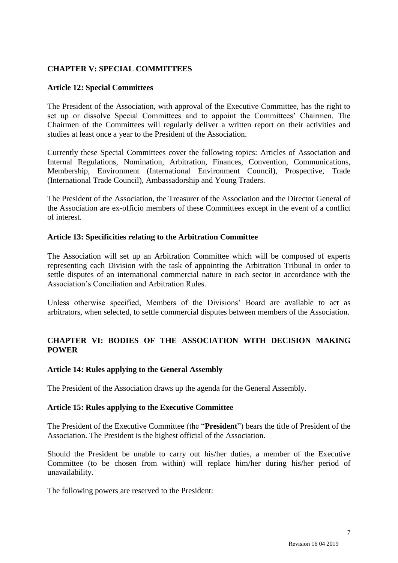## **CHAPTER V: SPECIAL COMMITTEES**

## **Article 12: Special Committees**

The President of the Association, with approval of the Executive Committee, has the right to set up or dissolve Special Committees and to appoint the Committees' Chairmen. The Chairmen of the Committees will regularly deliver a written report on their activities and studies at least once a year to the President of the Association.

Currently these Special Committees cover the following topics: Articles of Association and Internal Regulations, Nomination, Arbitration, Finances, Convention, Communications, Membership, Environment (International Environment Council), Prospective, Trade (International Trade Council), Ambassadorship and Young Traders.

The President of the Association, the Treasurer of the Association and the Director General of the Association are ex-officio members of these Committees except in the event of a conflict of interest.

## **Article 13: Specificities relating to the Arbitration Committee**

The Association will set up an Arbitration Committee which will be composed of experts representing each Division with the task of appointing the Arbitration Tribunal in order to settle disputes of an international commercial nature in each sector in accordance with the Association's Conciliation and Arbitration Rules.

Unless otherwise specified, Members of the Divisions' Board are available to act as arbitrators, when selected, to settle commercial disputes between members of the Association.

## **CHAPTER VI: BODIES OF THE ASSOCIATION WITH DECISION MAKING POWER**

#### **Article 14: Rules applying to the General Assembly**

The President of the Association draws up the agenda for the General Assembly.

#### **Article 15: Rules applying to the Executive Committee**

The President of the Executive Committee (the "**President**") bears the title of President of the Association. The President is the highest official of the Association.

Should the President be unable to carry out his/her duties, a member of the Executive Committee (to be chosen from within) will replace him/her during his/her period of unavailability.

The following powers are reserved to the President: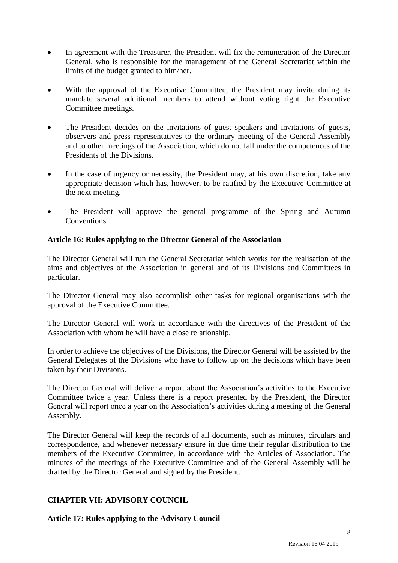- In agreement with the Treasurer, the President will fix the remuneration of the Director General, who is responsible for the management of the General Secretariat within the limits of the budget granted to him/her.
- With the approval of the Executive Committee, the President may invite during its mandate several additional members to attend without voting right the Executive Committee meetings.
- The President decides on the invitations of guest speakers and invitations of guests, observers and press representatives to the ordinary meeting of the General Assembly and to other meetings of the Association, which do not fall under the competences of the Presidents of the Divisions.
- In the case of urgency or necessity, the President may, at his own discretion, take any appropriate decision which has, however, to be ratified by the Executive Committee at the next meeting.
- The President will approve the general programme of the Spring and Autumn Conventions.

## **Article 16: Rules applying to the Director General of the Association**

The Director General will run the General Secretariat which works for the realisation of the aims and objectives of the Association in general and of its Divisions and Committees in particular.

The Director General may also accomplish other tasks for regional organisations with the approval of the Executive Committee.

The Director General will work in accordance with the directives of the President of the Association with whom he will have a close relationship.

In order to achieve the objectives of the Divisions, the Director General will be assisted by the General Delegates of the Divisions who have to follow up on the decisions which have been taken by their Divisions.

The Director General will deliver a report about the Association's activities to the Executive Committee twice a year. Unless there is a report presented by the President, the Director General will report once a year on the Association's activities during a meeting of the General Assembly.

The Director General will keep the records of all documents, such as minutes, circulars and correspondence, and whenever necessary ensure in due time their regular distribution to the members of the Executive Committee, in accordance with the Articles of Association. The minutes of the meetings of the Executive Committee and of the General Assembly will be drafted by the Director General and signed by the President.

## **CHAPTER VII: ADVISORY COUNCIL**

**Article 17: Rules applying to the Advisory Council**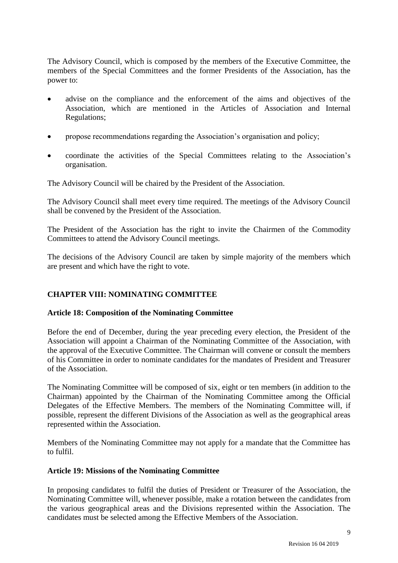The Advisory Council, which is composed by the members of the Executive Committee, the members of the Special Committees and the former Presidents of the Association, has the power to:

- advise on the compliance and the enforcement of the aims and objectives of the Association, which are mentioned in the Articles of Association and Internal Regulations;
- propose recommendations regarding the Association's organisation and policy;
- coordinate the activities of the Special Committees relating to the Association's organisation.

The Advisory Council will be chaired by the President of the Association.

The Advisory Council shall meet every time required. The meetings of the Advisory Council shall be convened by the President of the Association.

The President of the Association has the right to invite the Chairmen of the Commodity Committees to attend the Advisory Council meetings.

The decisions of the Advisory Council are taken by simple majority of the members which are present and which have the right to vote.

## **CHAPTER VIII: NOMINATING COMMITTEE**

#### **Article 18: Composition of the Nominating Committee**

Before the end of December, during the year preceding every election, the President of the Association will appoint a Chairman of the Nominating Committee of the Association, with the approval of the Executive Committee. The Chairman will convene or consult the members of his Committee in order to nominate candidates for the mandates of President and Treasurer of the Association.

The Nominating Committee will be composed of six, eight or ten members (in addition to the Chairman) appointed by the Chairman of the Nominating Committee among the Official Delegates of the Effective Members. The members of the Nominating Committee will, if possible, represent the different Divisions of the Association as well as the geographical areas represented within the Association.

Members of the Nominating Committee may not apply for a mandate that the Committee has to fulfil.

#### **Article 19: Missions of the Nominating Committee**

In proposing candidates to fulfil the duties of President or Treasurer of the Association, the Nominating Committee will, whenever possible, make a rotation between the candidates from the various geographical areas and the Divisions represented within the Association. The candidates must be selected among the Effective Members of the Association.